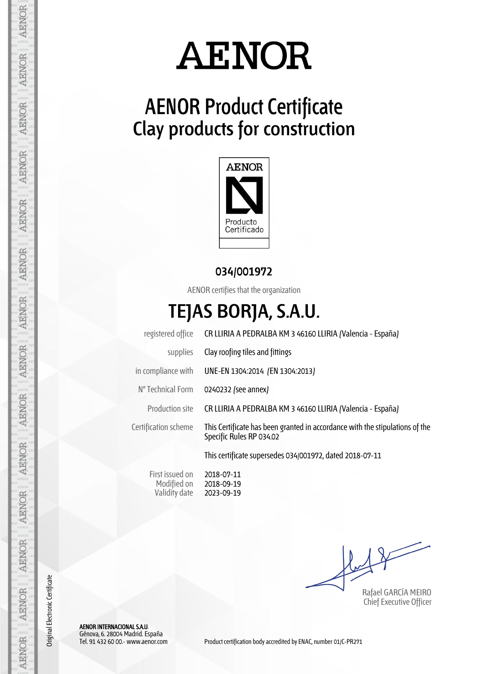

## **AENOR Product Certificate Clay products for construction**



**034/001972**

AENOR certifies that the organization

## **TEJAS BORJA, S.A.U.**

|                      | registered office CR LLIRIA A PEDRALBA KM 3 46160 LLIRIA (Valencia - España)                             |
|----------------------|----------------------------------------------------------------------------------------------------------|
| supplies             | Clay roofing tiles and fittings                                                                          |
| in compliance with   | UNE-EN 1304:2014 (EN 1304:2013)                                                                          |
| Nº Technical Form    | 0240232 (see annex)                                                                                      |
| Production site      | CR LLIRIA A PEDRALBA KM 3 46160 LLIRIA (Valencia - España)                                               |
| Certification scheme | This Certificate has been granted in accordance with the stipulations of the<br>Specific Rules RP 034.02 |
|                      | This certificate supersedes 034/001972, dated 2018-07-11                                                 |
|                      |                                                                                                          |

First issued on Modified on Validity date 2018-07-11 2018-09-19 2023-09-19

Rafael GARCÍA MEIRO Chief Executive Officer

AENOR

**AENOR** 

AENOR

**AENOR** 

**AENOR** 

**AENOR** 

AENOR

AENOR

AENOR

**AENOR** 

**AENOR** 

AENOR

AENOR

AENOR

Original Electronic Certificate

Original Electronic Certificate